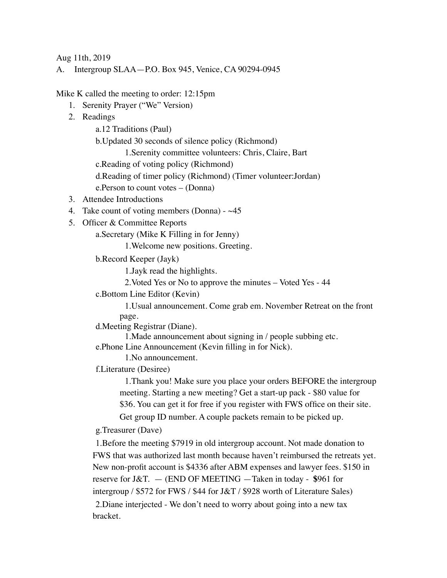Aug 11th, 2019

A. Intergroup SLAA—P.O. Box 945, Venice, CA 90294-0945

Mike K called the meeting to order: 12:15pm

- 1. Serenity Prayer ("We" Version)
- 2. Readings

a.12 Traditions (Paul)

b.Updated 30 seconds of silence policy (Richmond)

1.Serenity committee volunteers: Chris, Claire, Bart

c.Reading of voting policy (Richmond)

d.Reading of timer policy (Richmond) (Timer volunteer:Jordan)

e.Person to count votes – (Donna)

- 3. Attendee Introductions
- 4. Take count of voting members (Donna)  $~45$
- 5. Officer & Committee Reports

a.Secretary (Mike K Filling in for Jenny)

1.Welcome new positions. Greeting.

b.Record Keeper (Jayk)

1.Jayk read the highlights.

2.Voted Yes or No to approve the minutes – Voted Yes - 44

c.Bottom Line Editor (Kevin)

1.Usual announcement. Come grab em. November Retreat on the front page.

d.Meeting Registrar (Diane).

1.Made announcement about signing in / people subbing etc. e.Phone Line Announcement (Kevin filling in for Nick).

1.No announcement.

f.Literature (Desiree)

1.Thank you! Make sure you place your orders BEFORE the intergroup meeting. Starting a new meeting? Get a start-up pack - \$80 value for \$36. You can get it for free if you register with FWS office on their site.

Get group ID number. A couple packets remain to be picked up.

g.Treasurer (Dave)

1.Before the meeting \$7919 in old intergroup account. Not made donation to FWS that was authorized last month because haven't reimbursed the retreats yet. New non-profit account is \$4336 after ABM expenses and lawyer fees. \$150 in reserve for J&T. — (END OF MEETING —Taken in today - **\$**961 for intergroup / \$572 for FWS / \$44 for J&T / \$928 worth of Literature Sales) 2.Diane interjected - We don't need to worry about going into a new tax bracket.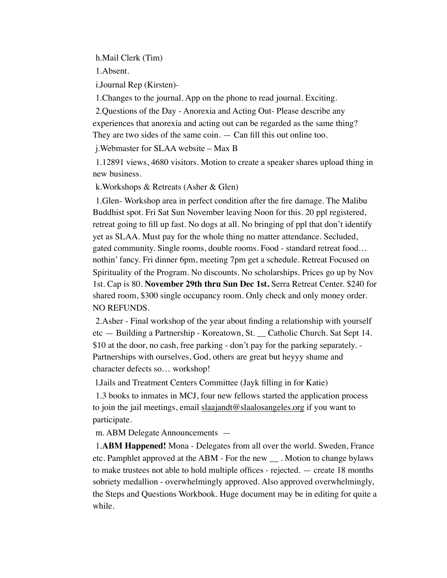h.Mail Clerk (Tim)

1.Absent.

i.Journal Rep (Kirsten)-

1.Changes to the journal. App on the phone to read journal. Exciting.

2.Questions of the Day - Anorexia and Acting Out- Please describe any experiences that anorexia and acting out can be regarded as the same thing? They are two sides of the same coin. — Can fill this out online too.

j.Webmaster for SLAA website – Max B

1.12891 views, 4680 visitors. Motion to create a speaker shares upload thing in new business.

k.Workshops & Retreats (Asher & Glen)

1.Glen- Workshop area in perfect condition after the fire damage. The Malibu Buddhist spot. Fri Sat Sun November leaving Noon for this. 20 ppl registered, retreat going to fill up fast. No dogs at all. No bringing of ppl that don't identify yet as SLAA. Must pay for the whole thing no matter attendance. Secluded, gated community. Single rooms, double rooms. Food - standard retreat food… nothin' fancy. Fri dinner 6pm, meeting 7pm get a schedule. Retreat Focused on Spirituality of the Program. No discounts. No scholarships. Prices go up by Nov 1st. Cap is 80. **November 29th thru Sun Dec 1st.** Serra Retreat Center. \$240 for shared room, \$300 single occupancy room. Only check and only money order. NO REFUNDS.

2.Asher - Final workshop of the year about finding a relationship with yourself etc — Building a Partnership - Koreatown, St. \_\_ Catholic Church. Sat Sept 14. \$10 at the door, no cash, free parking - don't pay for the parking separately. -Partnerships with ourselves, God, others are great but heyyy shame and character defects so… workshop!

l.Jails and Treatment Centers Committee (Jayk filling in for Katie)

1.3 books to inmates in MCJ, four new fellows started the application process to join the jail meetings, email [slaajandt@slaalosangeles.org](mailto:slaajandt@slaalosangeles.org) if you want to participate.

m. ABM Delegate Announcements —

1.**ABM Happened!** Mona - Delegates from all over the world. Sweden, France etc. Pamphlet approved at the ABM - For the new \_\_ . Motion to change bylaws to make trustees not able to hold multiple offices - rejected. — create 18 months sobriety medallion - overwhelmingly approved. Also approved overwhelmingly, the Steps and Questions Workbook. Huge document may be in editing for quite a while.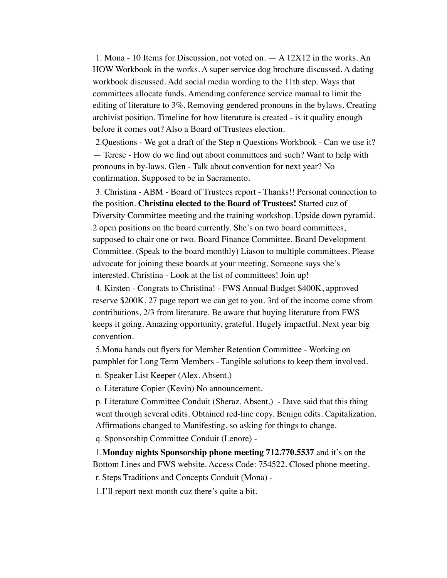1. Mona - 10 Items for Discussion, not voted on. — A 12X12 in the works. An HOW Workbook in the works. A super service dog brochure discussed. A dating workbook discussed. Add social media wording to the 11th step. Ways that committees allocate funds. Amending conference service manual to limit the editing of literature to 3%. Removing gendered pronouns in the bylaws. Creating archivist position. Timeline for how literature is created - is it quality enough before it comes out? Also a Board of Trustees election.

2.Questions - We got a draft of the Step n Questions Workbook - Can we use it? — Terese - How do we find out about committees and such? Want to help with pronouns in by-laws. Glen - Talk about convention for next year? No confirmation. Supposed to be in Sacramento.

3. Christina - ABM - Board of Trustees report - Thanks!! Personal connection to the position. **Christina elected to the Board of Trustees!** Started cuz of Diversity Committee meeting and the training workshop. Upside down pyramid. 2 open positions on the board currently. She's on two board committees, supposed to chair one or two. Board Finance Committee. Board Development Committee. (Speak to the board monthly) Liason to multiple committees. Please advocate for joining these boards at your meeting. Someone says she's interested. Christina - Look at the list of committees! Join up!

4. Kirsten - Congrats to Christina! - FWS Annual Budget \$400K, approved reserve \$200K. 27 page report we can get to you. 3rd of the income come sfrom contributions, 2/3 from literature. Be aware that buying literature from FWS keeps it going. Amazing opportunity, grateful. Hugely impactful. Next year big convention.

5.Mona hands out flyers for Member Retention Committee - Working on pamphlet for Long Term Members - Tangible solutions to keep them involved.

n. Speaker List Keeper (Alex. Absent.)

o. Literature Copier (Kevin) No announcement.

p. Literature Committee Conduit (Sheraz. Absent.) - Dave said that this thing went through several edits. Obtained red-line copy. Benign edits. Capitalization. Affirmations changed to Manifesting, so asking for things to change.

q. Sponsorship Committee Conduit (Lenore) -

1.**Monday nights Sponsorship phone meeting 712.770.5537** and it's on the Bottom Lines and FWS website. Access Code: 754522. Closed phone meeting.

r. Steps Traditions and Concepts Conduit (Mona) -

1.I'll report next month cuz there's quite a bit.